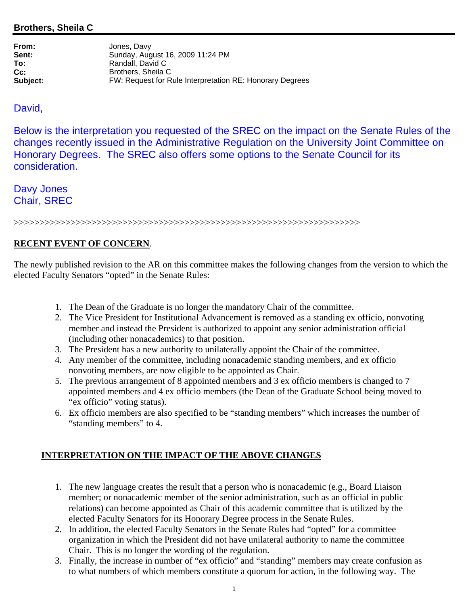## **Brothers, Sheila C**

| From:    | Jones, Davy                                              |
|----------|----------------------------------------------------------|
| Sent:    | Sunday, August 16, 2009 11:24 PM                         |
| To:      | Randall, David C                                         |
| Cc:      | Brothers, Sheila C                                       |
| Subject: | FW: Request for Rule Interpretation RE: Honorary Degrees |

## David,

Below is the interpretation you requested of the SREC on the impact on the Senate Rules of the changes recently issued in the Administrative Regulation on the University Joint Committee on Honorary Degrees. The SREC also offers some options to the Senate Council for its consideration.

Davy Jones Chair, SREC

>>>>>>>>>>>>>>>>>>>>>>>>>>>>>>>>>>>>>>>>>>>>>>>>>>>>>>>>>>>>>>>>>>>

## **RECENT EVENT OF CONCERN**.

The newly published revision to the AR on this committee makes the following changes from the version to which the elected Faculty Senators "opted" in the Senate Rules:

- 1. The Dean of the Graduate is no longer the mandatory Chair of the committee.
- 2. The Vice President for Institutional Advancement is removed as a standing ex officio, nonvoting member and instead the President is authorized to appoint any senior administration official (including other nonacademics) to that position.
- 3. The President has a new authority to unilaterally appoint the Chair of the committee.
- 4. Any member of the committee, including nonacademic standing members, and ex officio nonvoting members, are now eligible to be appointed as Chair.
- 5. The previous arrangement of 8 appointed members and 3 ex officio members is changed to 7 appointed members and 4 ex officio members (the Dean of the Graduate School being moved to "ex officio" voting status).
- 6. Ex officio members are also specified to be "standing members" which increases the number of "standing members" to 4.

#### **INTERPRETATION ON THE IMPACT OF THE ABOVE CHANGES**

- 1. The new language creates the result that a person who is nonacademic (e.g., Board Liaison member; or nonacademic member of the senior administration, such as an official in public relations) can become appointed as Chair of this academic committee that is utilized by the elected Faculty Senators for its Honorary Degree process in the Senate Rules.
- 2. In addition, the elected Faculty Senators in the Senate Rules had "opted" for a committee organization in which the President did not have unilateral authority to name the committee Chair. This is no longer the wording of the regulation.
- 3. Finally, the increase in number of "ex officio" and "standing" members may create confusion as to what numbers of which members constitute a quorum for action, in the following way. The